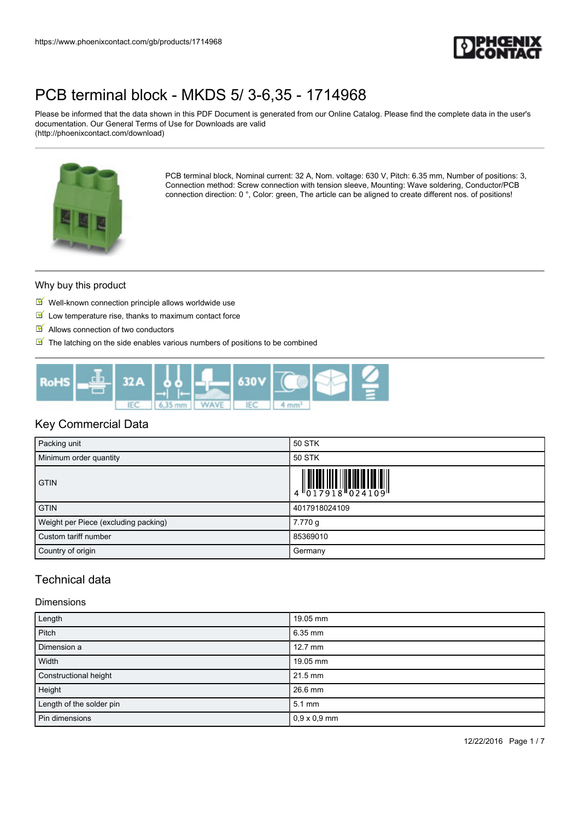

Please be informed that the data shown in this PDF Document is generated from our Online Catalog. Please find the complete data in the user's documentation. Our General Terms of Use for Downloads are valid (http://phoenixcontact.com/download)



PCB terminal block, Nominal current: 32 A, Nom. voltage: 630 V, Pitch: 6.35 mm, Number of positions: 3, Connection method: Screw connection with tension sleeve, Mounting: Wave soldering, Conductor/PCB connection direction: 0 °, Color: green, The article can be aligned to create different nos. of positions!

### Why buy this product

- $\blacksquare$  Well-known connection principle allows worldwide use
- $\blacksquare$  Low temperature rise, thanks to maximum contact force
- Allows connection of two conductors
- $\blacksquare$  The latching on the side enables various numbers of positions to be combined



## Key Commercial Data

| Packing unit                         | 50 STK                                                                                                                                                                                                                                                                                                                    |
|--------------------------------------|---------------------------------------------------------------------------------------------------------------------------------------------------------------------------------------------------------------------------------------------------------------------------------------------------------------------------|
| Minimum order quantity               | 50 STK                                                                                                                                                                                                                                                                                                                    |
| <b>GTIN</b>                          | $\begin{array}{c} 1 & 0 & 0 & 0 \\ 0 & 1 & 7 & 9 & 1 & 8 \\ 0 & 0 & 1 & 7 & 9 & 1 \\ 0 & 0 & 0 & 0 & 1 & 1 \\ 0 & 0 & 0 & 0 & 0 & 1 \\ 0 & 0 & 0 & 0 & 0 & 0 \\ 0 & 0 & 0 & 0 & 0 & 0 \\ 0 & 0 & 0 & 0 & 0 & 0 \\ 0 & 0 & 0 & 0 & 0 & 0 & 0 \\ 0 & 0 & 0 & 0 & 0 & 0 & 0 \\ 0 & 0 & 0 & 0 & 0 & 0 & 0 \\ 0 & 0 & 0 & 0 &$ |
| <b>GTIN</b>                          | 4017918024109                                                                                                                                                                                                                                                                                                             |
| Weight per Piece (excluding packing) | 7.770 g                                                                                                                                                                                                                                                                                                                   |
| Custom tariff number                 | 85369010                                                                                                                                                                                                                                                                                                                  |
| Country of origin                    | Germany                                                                                                                                                                                                                                                                                                                   |

# Technical data

#### Dimensions

| Length                   | 19.05 mm            |
|--------------------------|---------------------|
| Pitch                    | $6.35$ mm           |
| Dimension a              | $12.7$ mm           |
| Width                    | 19.05 mm            |
| Constructional height    | 21.5 mm             |
| Height                   | 26.6 mm             |
| Length of the solder pin | $5.1 \text{ mm}$    |
| Pin dimensions           | $0,9 \times 0,9$ mm |

12/22/2016 Page 1 / 7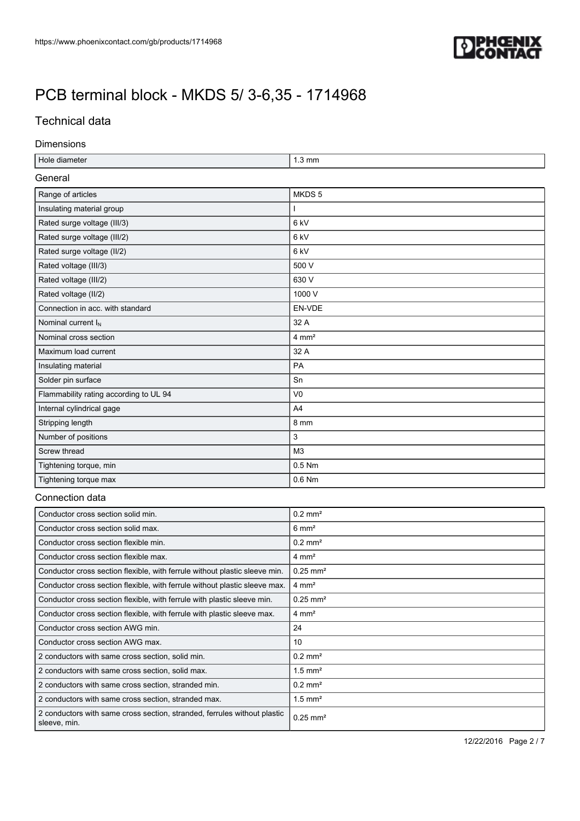

# Technical data

### Dimensions

| Hole diameter                                                                            | $1.3 \text{ mm}$       |  |  |  |
|------------------------------------------------------------------------------------------|------------------------|--|--|--|
| General                                                                                  |                        |  |  |  |
| Range of articles                                                                        | MKDS <sub>5</sub>      |  |  |  |
| Insulating material group                                                                | ı                      |  |  |  |
| Rated surge voltage (III/3)                                                              | 6 kV                   |  |  |  |
| Rated surge voltage (III/2)                                                              | 6 kV                   |  |  |  |
| Rated surge voltage (II/2)                                                               | 6 kV                   |  |  |  |
| Rated voltage (III/3)                                                                    | 500 V                  |  |  |  |
| Rated voltage (III/2)                                                                    | 630 V                  |  |  |  |
| Rated voltage (II/2)                                                                     | 1000 V                 |  |  |  |
| Connection in acc. with standard                                                         | EN-VDE                 |  |  |  |
| Nominal current I <sub>N</sub>                                                           | 32 A                   |  |  |  |
| Nominal cross section                                                                    | $4 \text{ mm}^2$       |  |  |  |
| Maximum load current                                                                     | 32 A                   |  |  |  |
| Insulating material                                                                      | PA                     |  |  |  |
| Solder pin surface                                                                       | Sn                     |  |  |  |
| Flammability rating according to UL 94                                                   | V <sub>0</sub>         |  |  |  |
| Internal cylindrical gage                                                                | A <sub>4</sub>         |  |  |  |
| Stripping length                                                                         | 8 mm                   |  |  |  |
| Number of positions                                                                      | 3                      |  |  |  |
| Screw thread                                                                             | M <sub>3</sub>         |  |  |  |
| Tightening torque, min                                                                   | 0.5 Nm                 |  |  |  |
| Tightening torque max                                                                    | $0.6$ Nm               |  |  |  |
| Connection data                                                                          |                        |  |  |  |
| Conductor cross section solid min.                                                       | $0.2$ mm <sup>2</sup>  |  |  |  |
| Conductor cross section solid max.                                                       | $6 \text{ mm}^2$       |  |  |  |
| Conductor cross section flexible min.                                                    | $0.2$ mm <sup>2</sup>  |  |  |  |
| Conductor cross section flexible max.                                                    | $4 \text{ mm}^2$       |  |  |  |
| Conductor cross section flexible, with ferrule without plastic sleeve min.               | $0.25$ mm <sup>2</sup> |  |  |  |
| Conductor cross section flexible, with ferrule without plastic sleeve max.               | $4 \, \text{mm}^2$     |  |  |  |
| Conductor cross section flexible, with ferrule with plastic sleeve min.                  | $0.25$ mm <sup>2</sup> |  |  |  |
| Conductor cross section flexible, with ferrule with plastic sleeve max.                  | $4 \text{ mm}^2$       |  |  |  |
| Conductor cross section AWG min.                                                         | 24                     |  |  |  |
| Conductor cross section AWG max.                                                         | 10                     |  |  |  |
| 2 conductors with same cross section, solid min.                                         | $0.2$ mm <sup>2</sup>  |  |  |  |
| 2 conductors with same cross section, solid max.                                         | $1.5$ mm <sup>2</sup>  |  |  |  |
| 2 conductors with same cross section, stranded min.                                      | $0.2$ mm <sup>2</sup>  |  |  |  |
| 2 conductors with same cross section, stranded max.                                      | $1.5$ mm <sup>2</sup>  |  |  |  |
| 2 conductors with same cross section, stranded, ferrules without plastic<br>sleeve, min. | $0.25$ mm <sup>2</sup> |  |  |  |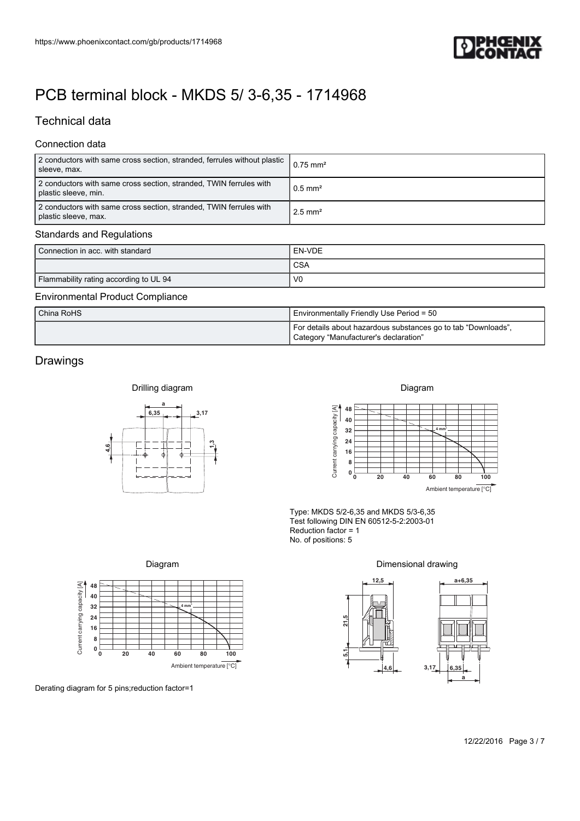

# Technical data

## Connection data

| https://www.phoenixcontact.com/gb/products/1714968                                               |                                                                                                                   |
|--------------------------------------------------------------------------------------------------|-------------------------------------------------------------------------------------------------------------------|
|                                                                                                  |                                                                                                                   |
| PCB terminal block - MKDS 5/ 3-6,35 - 1714968                                                    |                                                                                                                   |
| <b>Technical data</b>                                                                            |                                                                                                                   |
| Connection data                                                                                  |                                                                                                                   |
| 2 conductors with same cross section, stranded, ferrules without plastic<br>sleeve, max.         | $0.75$ mm <sup>2</sup>                                                                                            |
| 2 conductors with same cross section, stranded, TWIN ferrules with<br>plastic sleeve, min.       | $0.5$ mm <sup>2</sup>                                                                                             |
| 2 conductors with same cross section, stranded, TWIN ferrules with<br>plastic sleeve, max.       | $2.5$ mm <sup>2</sup>                                                                                             |
| <b>Standards and Regulations</b>                                                                 |                                                                                                                   |
| Connection in acc. with standard                                                                 | EN-VDE<br><b>CSA</b>                                                                                              |
| Flammability rating according to UL 94                                                           | V <sub>0</sub>                                                                                                    |
| <b>Environmental Product Compliance</b><br>China RoHS                                            | Environmentally Friendly Use Period = 50                                                                          |
|                                                                                                  | For details about hazardous substances go to tab "Downloads",<br>Category "Manufacturer's declaration"            |
| Drawings                                                                                         |                                                                                                                   |
| Drilling diagram                                                                                 | Diagram                                                                                                           |
| 6,35<br>$-3,17$                                                                                  | 48<br>40                                                                                                          |
| $\frac{3}{4}$<br>4,6                                                                             | Current carrying capacity [A]<br>${\bf 32}$<br>4 mm<br>24                                                         |
| $\mathbf 1$                                                                                      | 16<br>8                                                                                                           |
|                                                                                                  | $\begin{smallmatrix}0&\mathbb{L}\\&0\end{smallmatrix}$<br>20<br>40<br>60<br>80<br>100<br>Ambient temperature [°C] |
|                                                                                                  | Type: MKDS 5/2-6,35 and MKDS 5/3-6,35<br>Test following DIN EN 60512-5-2:2003-01                                  |
|                                                                                                  | Reduction factor = 1<br>No. of positions: 5                                                                       |
| Diagram                                                                                          | Dimensional drawing                                                                                               |
| 48<br>40                                                                                         | 12,5<br>$a + 6,35$                                                                                                |
| 4 mm<br>32<br>24                                                                                 | 21,5                                                                                                              |
| Current carrying capacity [A]<br>16<br>8                                                         |                                                                                                                   |
| $\mathbf{0}$ $_\mathbf{0}^\mathsf{L}$<br>20<br>80<br>40<br>60<br>100<br>Ambient temperature [°C] | $\overline{5}$<br>3,17<br>6,35<br>4,6                                                                             |
| Derating diagram for 5 pins; reduction factor=1                                                  | a                                                                                                                 |
|                                                                                                  |                                                                                                                   |
|                                                                                                  | 12/22/2016 Page 3 / 7                                                                                             |
|                                                                                                  |                                                                                                                   |
|                                                                                                  |                                                                                                                   |
|                                                                                                  |                                                                                                                   |
|                                                                                                  |                                                                                                                   |

#### Standards and Regulations

| Connection in acc. with standard       | I EN-VDE   |
|----------------------------------------|------------|
|                                        | <b>CSA</b> |
| Flammability rating according to UL 94 | - VC       |

### Environmental Product Compliance

| China RoHS | Environmentally Friendly Use Period = 50                                                               |  |
|------------|--------------------------------------------------------------------------------------------------------|--|
|            | For details about hazardous substances go to tab "Downloads",<br>Category "Manufacturer's declaration" |  |

## Drawings







#### Dimensional drawing

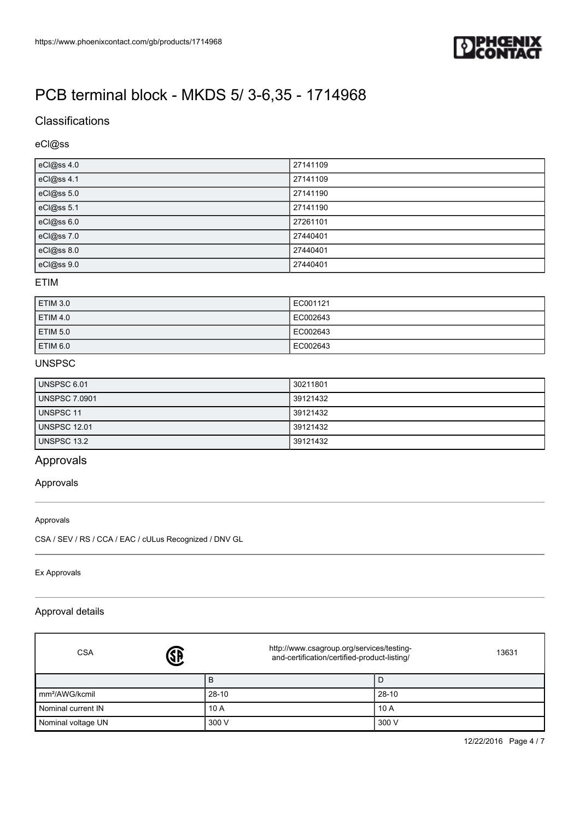

## **Classifications**

## eCl@ss

| eCl@ss 4.0 | 27141109 |
|------------|----------|
| eCl@ss 4.1 | 27141109 |
| eCl@ss 5.0 | 27141190 |
| eCl@ss 5.1 | 27141190 |
| eCl@ss 6.0 | 27261101 |
| eCl@ss 7.0 | 27440401 |
| eCl@ss 8.0 | 27440401 |
| eCl@ss 9.0 | 27440401 |

#### ETIM

| <b>ETIM 3.0</b> | EC001121 |
|-----------------|----------|
| <b>ETIM 4.0</b> | EC002643 |
| <b>ETIM 5.0</b> | EC002643 |
| ETIM 6.0        | EC002643 |

### UNSPSC

| UNSPSC 6.01          | 30211801 |
|----------------------|----------|
| <b>UNSPSC 7.0901</b> | 39121432 |
| UNSPSC 11            | 39121432 |
| <b>UNSPSC 12.01</b>  | 39121432 |
| UNSPSC 13.2          | 39121432 |

## Approvals

#### Approvals

#### Approvals

CSA / SEV / RS / CCA / EAC / cULus Recognized / DNV GL

#### Ex Approvals

## Approval details

| \$<br><b>CSA</b>           | http://www.csagroup.org/services/testing-<br>and-certification/certified-product-listing/ | 13631     |
|----------------------------|-------------------------------------------------------------------------------------------|-----------|
|                            | B                                                                                         | IJ        |
| mm <sup>2</sup> /AWG/kcmil | $28-10$                                                                                   | $28 - 10$ |
| Nominal current IN         | 10 A                                                                                      | 10A       |
| Nominal voltage UN         | 300 V                                                                                     | 300 V     |

12/22/2016 Page 4 / 7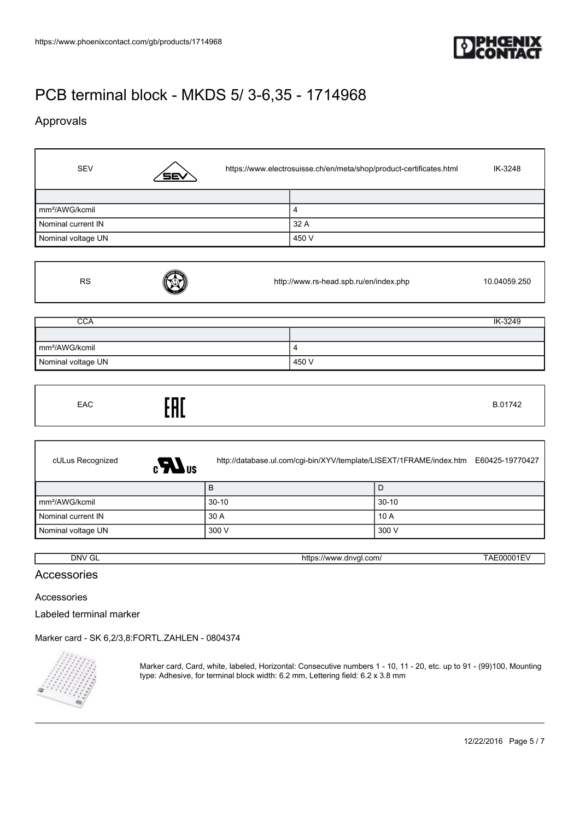

## Approvals

 $\mathbf{r}$ 

H

| <b>SEV</b>                 | <b>SEV</b> | https://www.electrosuisse.ch/en/meta/shop/product-certificates.html |       | IK-3248 |
|----------------------------|------------|---------------------------------------------------------------------|-------|---------|
|                            |            |                                                                     |       |         |
| mm <sup>2</sup> /AWG/kcmil |            |                                                                     | 4     |         |
| Nominal current IN         |            |                                                                     | 32 A  |         |
| Nominal voltage UN         |            |                                                                     | 450 V |         |

| <b>RS</b>                  | http://www.rs-head.spb.ru/en/index.php | 10.04059.250 |
|----------------------------|----------------------------------------|--------------|
|                            |                                        |              |
| <b>CCA</b>                 |                                        | IK-3249      |
|                            |                                        |              |
| mm <sup>2</sup> /AWG/kcmil | 4                                      |              |
| Nominal voltage UN         | 450 V                                  |              |

| EAC | EAC |  | B.01742 |
|-----|-----|--|---------|
|-----|-----|--|---------|

| cULus Recognized<br>$\epsilon$ <b>N</b> us | http://database.ul.com/cgi-bin/XYV/template/LISEXT/1FRAME/index.htm | E60425-19770427 |
|--------------------------------------------|---------------------------------------------------------------------|-----------------|
|                                            | B                                                                   | l D             |
| mm <sup>2</sup> /AWG/kcmil                 | $30-10$                                                             | $30 - 10$       |
| Nominal current IN                         | 30 A                                                                | 10A             |
| Nominal voltage UN                         | 300 V                                                               | 300 V           |

DNV GL <https://www.dnvgl.com/> TAE00001EV

## Accessories

Accessories

Labeled terminal marker

[Marker card - SK 6,2/3,8:FORTL.ZAHLEN - 0804374](https://www.phoenixcontact.com/gb/products/0804374)



Marker card, Card, white, labeled, Horizontal: Consecutive numbers 1 - 10, 11 - 20, etc. up to 91 - (99)100, Mounting type: Adhesive, for terminal block width: 6.2 mm, Lettering field: 6.2 x 3.8 mm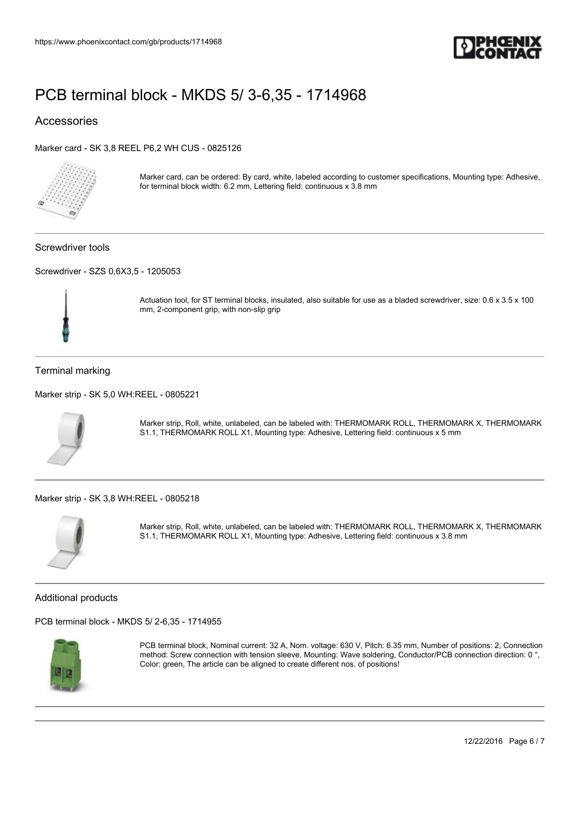

## Accessories

[Marker card - SK 3,8 REEL P6,2 WH CUS - 0825126](https://www.phoenixcontact.com/gb/products/0825126)



Marker card, can be ordered: By card, white, labeled according to customer specifications, Mounting type: Adhesive, for terminal block width: 6.2 mm, Lettering field: continuous x 3.8 mm

Screwdriver tools

[Screwdriver - SZS 0,6X3,5 - 1205053](https://www.phoenixcontact.com/gb/products/1205053)



Actuation tool, for ST terminal blocks, insulated, also suitable for use as a bladed screwdriver, size: 0.6 x 3.5 x 100 mm, 2-component grip, with non-slip grip

### Terminal marking

[Marker strip - SK 5,0 WH:REEL - 0805221](https://www.phoenixcontact.com/gb/products/0805221)



Marker strip, Roll, white, unlabeled, can be labeled with: THERMOMARK ROLL, THERMOMARK X, THERMOMARK S1.1, THERMOMARK ROLL X1, Mounting type: Adhesive, Lettering field: continuous x 5 mm

[Marker strip - SK 3,8 WH:REEL - 0805218](https://www.phoenixcontact.com/gb/products/0805218)



Marker strip, Roll, white, unlabeled, can be labeled with: THERMOMARK ROLL, THERMOMARK X, THERMOMARK S1.1, THERMOMARK ROLL X1, Mounting type: Adhesive, Lettering field: continuous x 3.8 mm

#### Additional products

[PCB terminal block - MKDS 5/ 2-6,35 - 1714955](https://www.phoenixcontact.com/gb/products/1714955)



PCB terminal block, Nominal current: 32 A, Nom. voltage: 630 V, Pitch: 6.35 mm, Number of positions: 2, Connection method: Screw connection with tension sleeve, Mounting: Wave soldering, Conductor/PCB connection direction: 0 °, Color: green, The article can be aligned to create different nos. of positions!